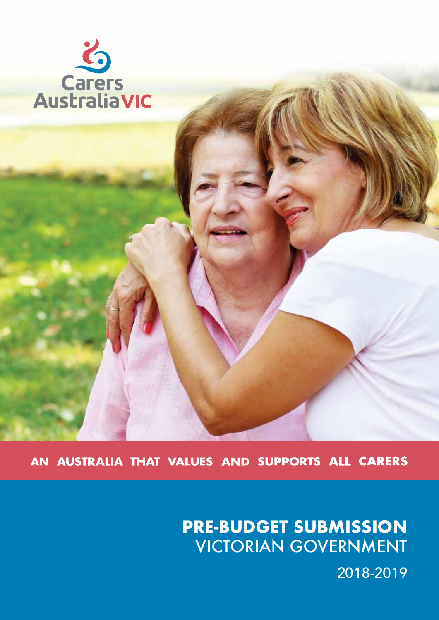

AN AUSTRALIA THAT VALUES AND SUPPORTS ALL CARERS

# **PRE-BUDGET SUBMISSION** VICTORIAN GOVERNMENT

2018-2019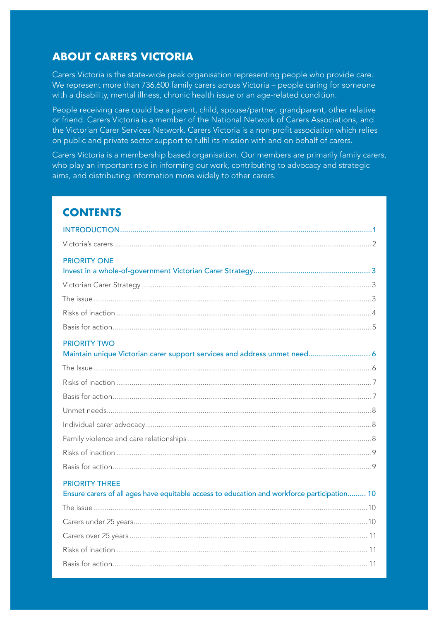### **ABOUT CARERS VICTORIA**

Carers Victoria is the state-wide peak organisation representing people who provide care. We represent more than 736,600 family carers across Victoria – people caring for someone with a disability, mental illness, chronic health issue or an age-related condition.

People receiving care could be a parent, child, spouse/partner, grandparent, other relative or friend. Carers Victoria is a member of the National Network of Carers Associations, and the Victorian Carer Services Network. Carers Victoria is a non-profit association which relies on public and private sector support to fulfil its mission with and on behalf of carers.

Carers Victoria is a membership based organisation. Our members are primarily family carers, who play an important role in informing our work, contributing to advocacy and strategic aims, and distributing information more widely to other carers.

## **CONTENTS**

| <b>PRIORITY ONE</b>                                                                                                  |
|----------------------------------------------------------------------------------------------------------------------|
|                                                                                                                      |
|                                                                                                                      |
|                                                                                                                      |
|                                                                                                                      |
| <b>PRIORITY TWO</b><br>Maintain unique Victorian carer support services and address unmet need 6                     |
|                                                                                                                      |
|                                                                                                                      |
|                                                                                                                      |
|                                                                                                                      |
|                                                                                                                      |
|                                                                                                                      |
|                                                                                                                      |
|                                                                                                                      |
| <b>PRIORITY THREE</b><br>Ensure carers of all ages have equitable access to education and workforce participation 10 |
|                                                                                                                      |
|                                                                                                                      |
|                                                                                                                      |
|                                                                                                                      |
|                                                                                                                      |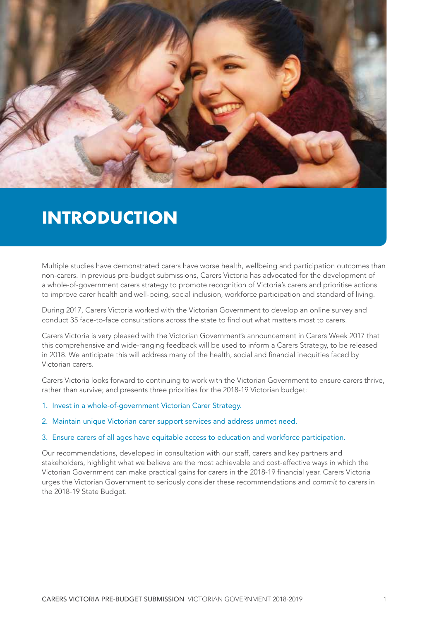

## **INTRODUCTION**

Multiple studies have demonstrated carers have worse health, wellbeing and participation outcomes than non-carers. In previous pre-budget submissions, Carers Victoria has advocated for the development of a whole-of-government carers strategy to promote recognition of Victoria's carers and prioritise actions to improve carer health and well-being, social inclusion, workforce participation and standard of living.

During 2017, Carers Victoria worked with the Victorian Government to develop an online survey and conduct 35 face-to-face consultations across the state to find out what matters most to carers.

Carers Victoria is very pleased with the Victorian Government's announcement in Carers Week 2017 that this comprehensive and wide-ranging feedback will be used to inform a Carers Strategy, to be released in 2018. We anticipate this will address many of the health, social and financial inequities faced by Victorian carers.

Carers Victoria looks forward to continuing to work with the Victorian Government to ensure carers thrive, rather than survive; and presents three priorities for the 2018-19 Victorian budget:

- 1. Invest in a whole-of-government Victorian Carer Strategy.
- 2. Maintain unique Victorian carer support services and address unmet need.

#### 3. Ensure carers of all ages have equitable access to education and workforce participation.

Our recommendations, developed in consultation with our staff, carers and key partners and stakeholders, highlight what we believe are the most achievable and cost-effective ways in which the Victorian Government can make practical gains for carers in the 2018-19 financial year. Carers Victoria urges the Victorian Government to seriously consider these recommendations and *commit to carers* in the 2018-19 State Budget.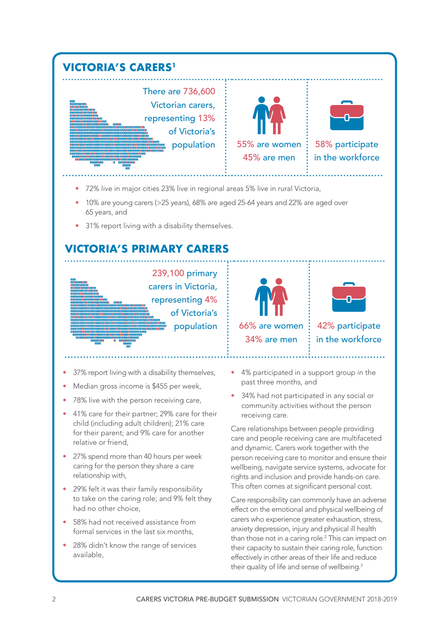

Care responsibility can commonly have an adverse effect on the emotional and physical wellbeing of carers who experience greater exhaustion, stress, anxiety depression, injury and physical ill health than those not in a caring role.<sup>2</sup> This can impact on their capacity to sustain their caring role, function effectively in other areas of their life and reduce their quality of life and sense of wellbeing.<sup>3</sup>

had no other choice,

available,

• 58% had not received assistance from formal services in the last six months, 28% didn't know the range of services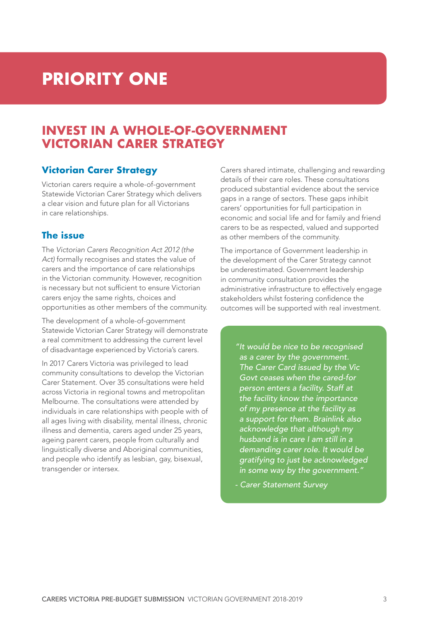# **PRIORITY ONE**

## **INVEST IN A WHOLE-OF-GOVERNMENT VICTORIAN CARER STRATEGY**

### **Victorian Carer Strategy**

Victorian carers require a whole-of-government Statewide Victorian Carer Strategy which delivers a clear vision and future plan for all Victorians in care relationships.

#### **The issue**

The *Victorian Carers Recognition Act 2012 (the Act)* formally recognises and states the value of carers and the importance of care relationships in the Victorian community. However, recognition is necessary but not sufficient to ensure Victorian carers enjoy the same rights, choices and opportunities as other members of the community.

The development of a whole-of-government Statewide Victorian Carer Strategy will demonstrate a real commitment to addressing the current level of disadvantage experienced by Victoria's carers.

In 2017 Carers Victoria was privileged to lead community consultations to develop the Victorian Carer Statement. Over 35 consultations were held across Victoria in regional towns and metropolitan Melbourne. The consultations were attended by individuals in care relationships with people with of all ages living with disability, mental illness, chronic illness and dementia, carers aged under 25 years, ageing parent carers, people from culturally and linguistically diverse and Aboriginal communities, and people who identify as lesbian, gay, bisexual, transgender or intersex.

Carers shared intimate, challenging and rewarding details of their care roles. These consultations produced substantial evidence about the service gaps in a range of sectors. These gaps inhibit carers' opportunities for full participation in economic and social life and for family and friend carers to be as respected, valued and supported as other members of the community.

The importance of Government leadership in the development of the Carer Strategy cannot be underestimated. Government leadership in community consultation provides the administrative infrastructure to effectively engage stakeholders whilst fostering confidence the outcomes will be supported with real investment.

> *"It would be nice to be recognised as a carer by the government. The Carer Card issued by the Vic Govt ceases when the cared-for person enters a facility. Staff at the facility know the importance of my presence at the facility as a support for them. Brainlink also acknowledge that although my husband is in care I am still in a demanding carer role. It would be gratifying to just be acknowledged in some way by the government."*

*- Carer Statement Survey*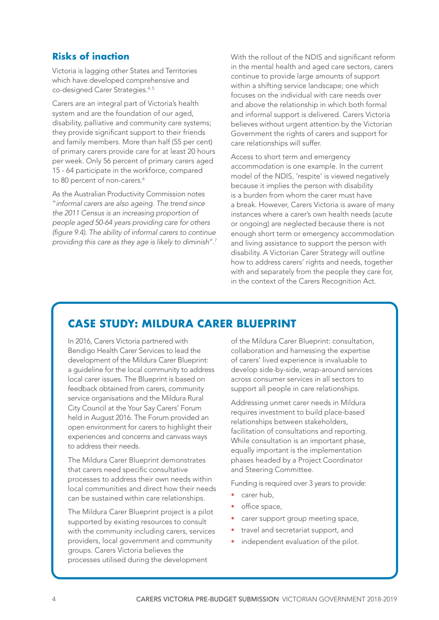### **Risks of inaction**

Victoria is lagging other States and Territories which have developed comprehensive and co-designed Carer Strategies.<sup>4, 5</sup>

Carers are an integral part of Victoria's health system and are the foundation of our aged, disability, palliative and community care systems; they provide significant support to their friends and family members. More than half (55 per cent) of primary carers provide care for at least 20 hours per week. Only 56 percent of primary carers aged 15 - 64 participate in the workforce, compared to 80 percent of non-carers.<sup>6</sup>

As the Australian Productivity Commission notes "*informal carers are also ageing. The trend since the 2011 Census is an increasing proportion of people aged 50-64 years providing care for others*  (figure 9.4). The ability of informal carers to continue *providing this care as they age is likely to diminish*".7 With the rollout of the NDIS and significant reform in the mental health and aged care sectors, carers continue to provide large amounts of support within a shifting service landscape; one which focuses on the individual with care needs over and above the relationship in which both formal and informal support is delivered. Carers Victoria believes without urgent attention by the Victorian Government the rights of carers and support for care relationships will suffer.

Access to short term and emergency accommodation is one example. In the current model of the NDIS, 'respite' is viewed negatively because it implies the person with disability is a burden from whom the carer must have a break. However, Carers Victoria is aware of many instances where a carer's own health needs (acute or ongoing) are neglected because there is not enough short term or emergency accommodation and living assistance to support the person with disability. A Victorian Carer Strategy will outline how to address carers' rights and needs, together with and separately from the people they care for, in the context of the Carers Recognition Act.

### **CASE STUDY: MILDURA CARER BLUEPRINT**

In 2016, Carers Victoria partnered with Bendigo Health Carer Services to lead the development of the Mildura Carer Blueprint: a guideline for the local community to address local carer issues. The Blueprint is based on feedback obtained from carers, community service organisations and the Mildura Rural City Council at the Your Say Carers' Forum held in August 2016. The Forum provided an open environment for carers to highlight their experiences and concerns and canvass ways to address their needs.

The Mildura Carer Blueprint demonstrates that carers need specific consultative processes to address their own needs within local communities and direct how their needs can be sustained within care relationships.

The Mildura Carer Blueprint project is a pilot supported by existing resources to consult with the community including carers, services providers, local government and community groups. Carers Victoria believes the processes utilised during the development

of the Mildura Carer Blueprint: consultation, collaboration and harnessing the expertise of carers' lived experience is invaluable to develop side-by-side, wrap-around services across consumer services in all sectors to support all people in care relationships.

Addressing unmet carer needs in Mildura requires investment to build place-based relationships between stakeholders, facilitation of consultations and reporting. While consultation is an important phase, equally important is the implementation phases headed by a Project Coordinator and Steering Committee.

Funding is required over 3 years to provide:

- carer hub,
- office space,
- carer support group meeting space,
- travel and secretariat support, and
- independent evaluation of the pilot.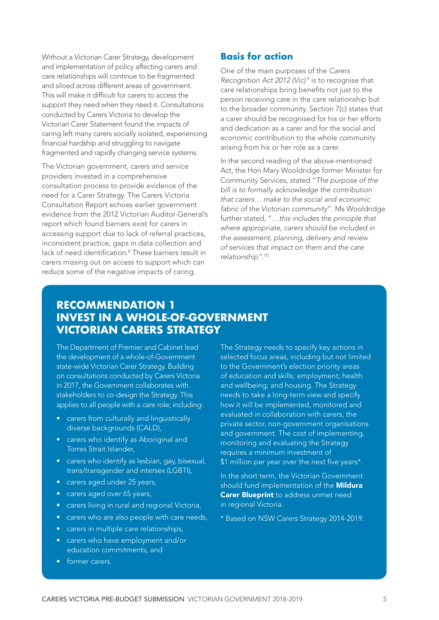Without a Victorian Carer Strategy, development and implementation of policy affecting carers and care relationships will continue to be fragmented and siloed across different areas of government. This will make it difficult for carers to access the support they need when they need it. Consultations conducted by Carers Victoria to develop the Victorian Carer Statement found the impacts of caring left many carers socially isolated, experiencing financial hardship and struggling to navigate fragmented and rapidly changing service systems.

The Victorian government, carers and service providers invested in a comprehensive consultation process to provide evidence of the need for a Carer Strategy. The Carers Victoria Consultation Report echoes earlier government evidence from the 2012 Victorian Auditor-General's report which found barriers exist for carers in accessing support due to lack of referral practices, inconsistent practice, gaps in data collection and lack of need identification.<sup>8</sup> These barriers result in carers missing out on access to support which can reduce some of the negative impacts of caring.

#### **Basis for action**

One of the main purposes of the *Carers Recognition Act 2012 (Vic)<sup>9</sup>* is to recognise that care relationships bring benefits not just to the person receiving care in the care relationship but to the broader community. Section 7(c) states that a carer should be recognised for his or her efforts and dedication as a carer and for the social and economic contribution to the whole community arising from his or her role as a carer.

In the second reading of the above-mentioned Act, the Hon Mary Wooldridge former Minister for Community Services, stated "*The purpose of the*  bill is to formally acknowledge the contribution *that carers… make to the social and economic*  fabric of the Victorian community". Ms Wooldridge further stated, "*…this includes the principle that*  where appropriate, carers should be included in the assessment, planning, delivery and review *of services that impact on them and the care relationship"*. 10

### **RECOMMENDATION 1 INVEST IN A WHOLE-OF-GOVERNMENT VICTORIAN CARERS STRATEGY**

The Department of Premier and Cabinet lead the development of a whole-of-Government state-wide Victorian Carer Strategy. Building on consultations conducted by Carers Victoria in 2017, the Government collaborates with stakeholders to co-design the Strategy. This applies to all people with a care role; including:

- carers from culturally and linguistically diverse backgrounds (CALD),
- carers who identify as Aboriginal and Torres Strait Islander,
- carers who identify as lesbian, gay, bisexual, trans/transgender and intersex (LGBTI),
- carers aged under 25 years,
- carers aged over 65 years,
- carers living in rural and regional Victoria,
- carers who are also people with care needs,
- carers in multiple care relationships,
- carers who have employment and/or education commitments, and
- former carers.

The Strategy needs to specify key actions in selected focus areas, including but not limited to the Government's election priority areas of education and skills; employment; health and wellbeing; and housing. The Strategy needs to take a long-term view and specify how it will be implemented, monitored and evaluated in collaboration with carers, the private sector, non-government organisations and government. The cost of implementing, monitoring and evaluating the Strategy requires a minimum investment of \$1 million per year over the next five years\*.

In the short term, the Victorian Government should fund implementation of the **Mildura Carer Blueprint** to address unmet need in regional Victoria.

\* Based on NSW Carers Strategy 2014-2019.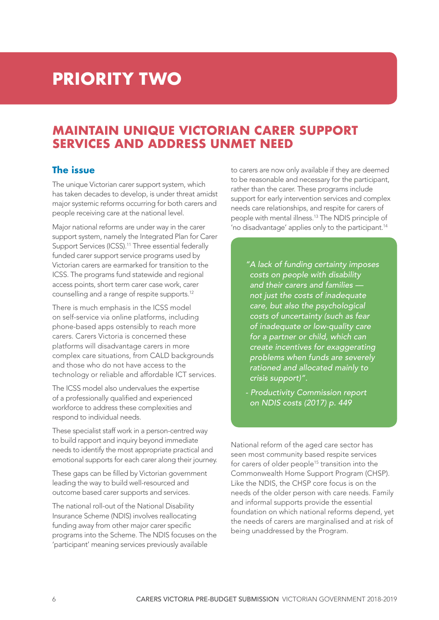## **PRIORITY TWO**

## **MAINTAIN UNIQUE VICTORIAN CARER SUPPORT SERVICES AND ADDRESS UNMET NEED**

### **The issue**

The unique Victorian carer support system, which has taken decades to develop, is under threat amidst major systemic reforms occurring for both carers and people receiving care at the national level.

Major national reforms are under way in the carer support system, namely the Integrated Plan for Carer Support Services (ICSS).<sup>11</sup> Three essential federally funded carer support service programs used by Victorian carers are earmarked for transition to the ICSS. The programs fund statewide and regional access points, short term carer case work, carer counselling and a range of respite supports.12

There is much emphasis in the ICSS model on self-service via online platforms, including phone-based apps ostensibly to reach more carers. Carers Victoria is concerned these platforms will disadvantage carers in more complex care situations, from CALD backgrounds and those who do not have access to the technology or reliable and affordable ICT services.

The ICSS model also undervalues the expertise of a professionally qualified and experienced workforce to address these complexities and respond to individual needs.

These specialist staff work in a person-centred way to build rapport and inquiry beyond immediate needs to identify the most appropriate practical and emotional supports for each carer along their journey.

These gaps can be filled by Victorian government leading the way to build well-resourced and outcome based carer supports and services.

The national roll-out of the National Disability Insurance Scheme (NDIS) involves reallocating funding away from other major carer specific programs into the Scheme. The NDIS focuses on the 'participant' meaning services previously available

to carers are now only available if they are deemed to be reasonable and necessary for the participant, rather than the carer. These programs include support for early intervention services and complex needs care relationships, and respite for carers of people with mental illness.13 The NDIS principle of 'no disadvantage' applies only to the participant.<sup>14</sup>

*"A lack of funding certainty imposes costs on people with disability and their carers and families not just the costs of inadequate care, but also the psychological costs of uncertainty (such as fear of inadequate or low-quality care for a partner or child, which can create incentives for exaggerating problems when funds are severely rationed and allocated mainly to crisis support)".* 

*- Productivity Commission report on NDIS costs (2017) p. 449*

National reform of the aged care sector has seen most community based respite services for carers of older people<sup>15</sup> transition into the Commonwealth Home Support Program (CHSP). Like the NDIS, the CHSP core focus is on the needs of the older person with care needs. Family and informal supports provide the essential foundation on which national reforms depend, yet the needs of carers are marginalised and at risk of being unaddressed by the Program.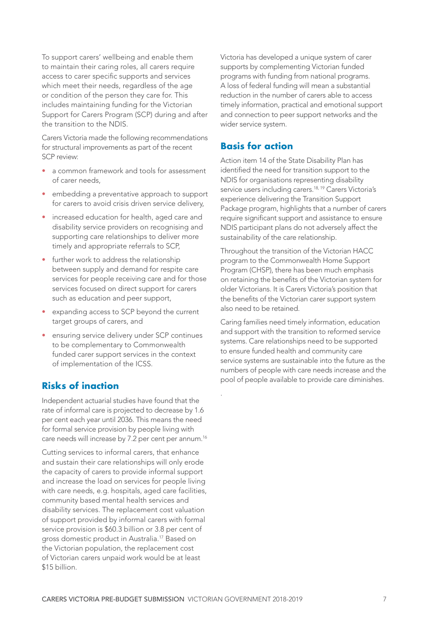To support carers' wellbeing and enable them to maintain their caring roles, all carers require access to carer specific supports and services which meet their needs, regardless of the age or condition of the person they care for. This includes maintaining funding for the Victorian Support for Carers Program (SCP) during and after the transition to the NDIS.

Carers Victoria made the following recommendations for structural improvements as part of the recent SCP review:

- a common framework and tools for assessment of carer needs,
- embedding a preventative approach to support for carers to avoid crisis driven service delivery,
- increased education for health, aged care and disability service providers on recognising and supporting care relationships to deliver more timely and appropriate referrals to SCP,
- further work to address the relationship between supply and demand for respite care services for people receiving care and for those services focused on direct support for carers such as education and peer support,
- expanding access to SCP beyond the current target groups of carers, and
- ensuring service delivery under SCP continues to be complementary to Commonwealth funded carer support services in the context of implementation of the ICSS.

### **Risks of inaction**

Independent actuarial studies have found that the rate of informal care is projected to decrease by 1.6 per cent each year until 2036. This means the need for formal service provision by people living with care needs will increase by 7.2 per cent per annum.<sup>16</sup>

Cutting services to informal carers, that enhance and sustain their care relationships will only erode the capacity of carers to provide informal support and increase the load on services for people living with care needs, e.g. hospitals, aged care facilities, community based mental health services and disability services. The replacement cost valuation of support provided by informal carers with formal service provision is \$60.3 billion or 3.8 per cent of gross domestic product in Australia.17 Based on the Victorian population, the replacement cost of Victorian carers unpaid work would be at least \$15 billion.

Victoria has developed a unique system of carer supports by complementing Victorian funded programs with funding from national programs. A loss of federal funding will mean a substantial reduction in the number of carers able to access timely information, practical and emotional support and connection to peer support networks and the wider service system.

### **Basis for action**

.

Action item 14 of the State Disability Plan has identified the need for transition support to the NDIS for organisations representing disability service users including carers.<sup>18, 19</sup> Carers Victoria's experience delivering the Transition Support Package program, highlights that a number of carers require significant support and assistance to ensure NDIS participant plans do not adversely affect the sustainability of the care relationship.

Throughout the transition of the Victorian HACC program to the Commonwealth Home Support Program (CHSP), there has been much emphasis on retaining the benefits of the Victorian system for older Victorians. It is Carers Victoria's position that the benefits of the Victorian carer support system also need to be retained.

Caring families need timely information, education and support with the transition to reformed service systems. Care relationships need to be supported to ensure funded health and community care service systems are sustainable into the future as the numbers of people with care needs increase and the pool of people available to provide care diminishes.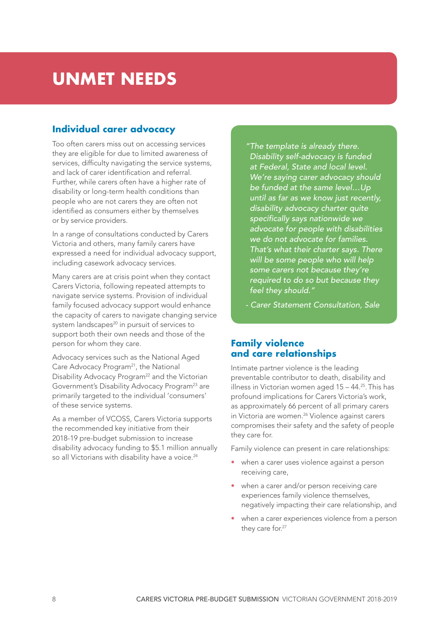## **UNMET NEEDS**

### **Individual carer advocacy**

Too often carers miss out on accessing services they are eligible for due to limited awareness of services, difficulty navigating the service systems, and lack of carer identification and referral. Further, while carers often have a higher rate of disability or long-term health conditions than people who are not carers they are often not identified as consumers either by themselves or by service providers.

In a range of consultations conducted by Carers Victoria and others, many family carers have expressed a need for individual advocacy support, including casework advocacy services.

Many carers are at crisis point when they contact Carers Victoria, following repeated attempts to navigate service systems. Provision of individual family focused advocacy support would enhance the capacity of carers to navigate changing service system landscapes<sup>20</sup> in pursuit of services to support both their own needs and those of the person for whom they care.

Advocacy services such as the National Aged Care Advocacy Program<sup>21</sup>, the National Disability Advocacy Program<sup>22</sup> and the Victorian Government's Disability Advocacy Program<sup>23</sup> are primarily targeted to the individual 'consumers' of these service systems.

As a member of VCOSS, Carers Victoria supports the recommended key initiative from their 2018-19 pre-budget submission to increase disability advocacy funding to \$5.1 million annually so all Victorians with disability have a voice.<sup>24</sup>

*"The template is already there. Disability self-advocacy is funded at Federal, State and local level. We're saying carer advocacy should be funded at the same level…Up until as far as we know just recently, disability advocacy charter quite*  specifically says nationwide we *advocate for people with disabilities we do not advocate for families. That's what their charter says. There will be some people who will help some carers not because they're required to do so but because they feel they should."* 

*- Carer Statement Consultation, Sale*

### **Family violence and care relationships**

Intimate partner violence is the leading preventable contributor to death, disability and illness in Victorian women aged 15 – 44.25. This has profound implications for Carers Victoria's work, as approximately 66 percent of all primary carers in Victoria are women.<sup>26</sup> Violence against carers compromises their safety and the safety of people they care for.

Family violence can present in care relationships:

- when a carer uses violence against a person receiving care,
- when a carer and/or person receiving care experiences family violence themselves, negatively impacting their care relationship, and
- when a carer experiences violence from a person they care for.<sup>27</sup>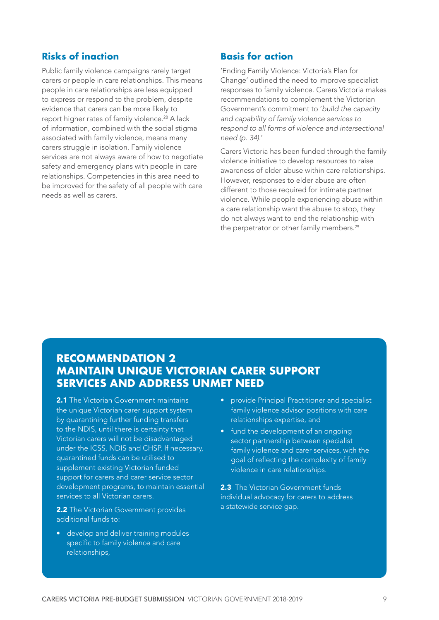### **Risks of inaction**

Public family violence campaigns rarely target carers or people in care relationships. This means people in care relationships are less equipped to express or respond to the problem, despite evidence that carers can be more likely to report higher rates of family violence.<sup>28</sup> A lack of information, combined with the social stigma associated with family violence, means many carers struggle in isolation. Family violence services are not always aware of how to negotiate safety and emergency plans with people in care relationships. Competencies in this area need to be improved for the safety of all people with care needs as well as carers.

#### **Basis for action**

'Ending Family Violence: Victoria's Plan for Change' outlined the need to improve specialist responses to family violence. Carers Victoria makes recommendations to complement the Victorian Government's commitment to 'build the capacity and capability of family violence services to *respond to all forms of violence and intersectional need (p. 34)*.'

Carers Victoria has been funded through the family violence initiative to develop resources to raise awareness of elder abuse within care relationships. However, responses to elder abuse are often different to those required for intimate partner violence. While people experiencing abuse within a care relationship want the abuse to stop, they do not always want to end the relationship with the perpetrator or other family members.<sup>29</sup>

### **RECOMMENDATION 2 MAINTAIN UNIQUE VICTORIAN CARER SUPPORT SERVICES AND ADDRESS UNMET NEED**

2.1 The Victorian Government maintains the unique Victorian carer support system by quarantining further funding transfers to the NDIS, until there is certainty that Victorian carers will not be disadvantaged under the ICSS, NDIS and CHSP. If necessary, quarantined funds can be utilised to supplement existing Victorian funded support for carers and carer service sector development programs, to maintain essential services to all Victorian carers.

2.2 The Victorian Government provides additional funds to:

• develop and deliver training modules specific to family violence and care relationships,

- provide Principal Practitioner and specialist family violence advisor positions with care relationships expertise, and
- fund the development of an ongoing sector partnership between specialist family violence and carer services, with the goal of reflecting the complexity of family violence in care relationships.

2.3 The Victorian Government funds individual advocacy for carers to address a statewide service gap.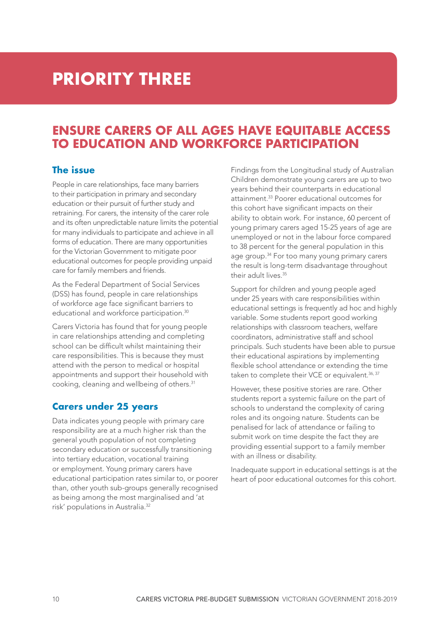## **PRIORITY THREE**

## **ENSURE CARERS OF ALL AGES HAVE EQUITABLE ACCESS TO EDUCATION AND WORKFORCE PARTICIPATION**

### **The issue**

People in care relationships, face many barriers to their participation in primary and secondary education or their pursuit of further study and retraining. For carers, the intensity of the carer role and its often unpredictable nature limits the potential for many individuals to participate and achieve in all forms of education. There are many opportunities for the Victorian Government to mitigate poor educational outcomes for people providing unpaid care for family members and friends.

As the Federal Department of Social Services (DSS) has found, people in care relationships of workforce age face significant barriers to educational and workforce participation.<sup>30</sup>

Carers Victoria has found that for young people in care relationships attending and completing school can be difficult whilst maintaining their care responsibilities. This is because they must attend with the person to medical or hospital appointments and support their household with cooking, cleaning and wellbeing of others.31

### **Carers under 25 years**

Data indicates young people with primary care responsibility are at a much higher risk than the general youth population of not completing secondary education or successfully transitioning into tertiary education, vocational training or employment. Young primary carers have educational participation rates similar to, or poorer than, other youth sub-groups generally recognised as being among the most marginalised and 'at risk' populations in Australia.32

Findings from the Longitudinal study of Australian Children demonstrate young carers are up to two years behind their counterparts in educational attainment.33 Poorer educational outcomes for this cohort have significant impacts on their ability to obtain work. For instance, 60 percent of young primary carers aged 15-25 years of age are unemployed or not in the labour force compared to 38 percent for the general population in this age group.<sup>34</sup> For too many young primary carers the result is long-term disadvantage throughout their adult lives.35

Support for children and young people aged under 25 years with care responsibilities within educational settings is frequently ad hoc and highly variable. Some students report good working relationships with classroom teachers, welfare coordinators, administrative staff and school principals. Such students have been able to pursue their educational aspirations by implementing flexible school attendance or extending the time taken to complete their VCE or equivalent.<sup>36, 37</sup>

However, these positive stories are rare. Other students report a systemic failure on the part of schools to understand the complexity of caring roles and its ongoing nature. Students can be penalised for lack of attendance or failing to submit work on time despite the fact they are providing essential support to a family member with an illness or disability.

Inadequate support in educational settings is at the heart of poor educational outcomes for this cohort.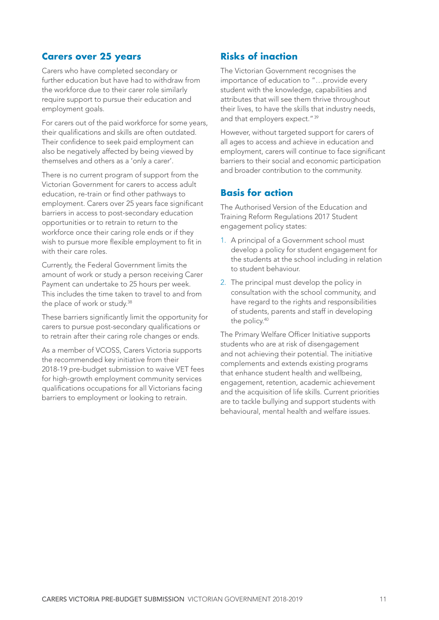#### **Carers over 25 years**

Carers who have completed secondary or further education but have had to withdraw from the workforce due to their carer role similarly require support to pursue their education and employment goals.

For carers out of the paid workforce for some years, their qualifications and skills are often outdated. Their confidence to seek paid employment can also be negatively affected by being viewed by themselves and others as a 'only a carer'.

There is no current program of support from the Victorian Government for carers to access adult education, re-train or find other pathways to employment. Carers over 25 years face significant barriers in access to post-secondary education opportunities or to retrain to return to the workforce once their caring role ends or if they wish to pursue more flexible employment to fit in with their care roles.

Currently, the Federal Government limits the amount of work or study a person receiving Carer Payment can undertake to 25 hours per week. This includes the time taken to travel to and from the place of work or study.<sup>38</sup>

These barriers significantly limit the opportunity for carers to pursue post-secondary qualifications or to retrain after their caring role changes or ends.

As a member of VCOSS, Carers Victoria supports the recommended key initiative from their 2018-19 pre-budget submission to waive VET fees for high-growth employment community services qualifications occupations for all Victorians facing barriers to employment or looking to retrain.

### **Risks of inaction**

The Victorian Government recognises the importance of education to "…provide every student with the knowledge, capabilities and attributes that will see them thrive throughout their lives, to have the skills that industry needs, and that employers expect."<sup>39</sup>

However, without targeted support for carers of all ages to access and achieve in education and employment, carers will continue to face significant barriers to their social and economic participation and broader contribution to the community.

### **Basis for action**

The Authorised Version of the Education and Training Reform Regulations 2017 Student engagement policy states:

- 1. A principal of a Government school must develop a policy for student engagement for the students at the school including in relation to student behaviour.
- 2. The principal must develop the policy in consultation with the school community, and have regard to the rights and responsibilities of students, parents and staff in developing the policy.40

The Primary Welfare Officer Initiative supports students who are at risk of disengagement and not achieving their potential. The initiative complements and extends existing programs that enhance student health and wellbeing, engagement, retention, academic achievement and the acquisition of life skills. Current priorities are to tackle bullying and support students with behavioural, mental health and welfare issues.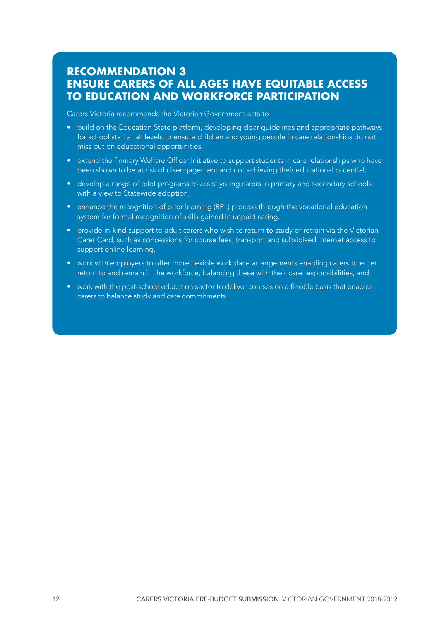### **RECOMMENDATION 3 ENSURE CARERS OF ALL AGES HAVE EQUITABLE ACCESS TO EDUCATION AND WORKFORCE PARTICIPATION**

Carers Victoria recommends the Victorian Government acts to:

- build on the Education State platform, developing clear guidelines and appropriate pathways for school staff at all levels to ensure children and young people in care relationships do not miss out on educational opportunities,
- extend the Primary Welfare Officer Initiative to support students in care relationships who have been shown to be at risk of disengagement and not achieving their educational potential,
- develop a range of pilot programs to assist young carers in primary and secondary schools with a view to Statewide adoption,
- enhance the recognition of prior learning (RPL) process through the vocational education system for formal recognition of skills gained in unpaid caring,
- provide in-kind support to adult carers who wish to return to study or retrain via the Victorian Carer Card, such as concessions for course fees, transport and subsidised internet access to support online learning,
- work with employers to offer more flexible workplace arrangements enabling carers to enter, return to and remain in the workforce, balancing these with their care responsibilities, and
- work with the post-school education sector to deliver courses on a flexible basis that enables carers to balance study and care commitments.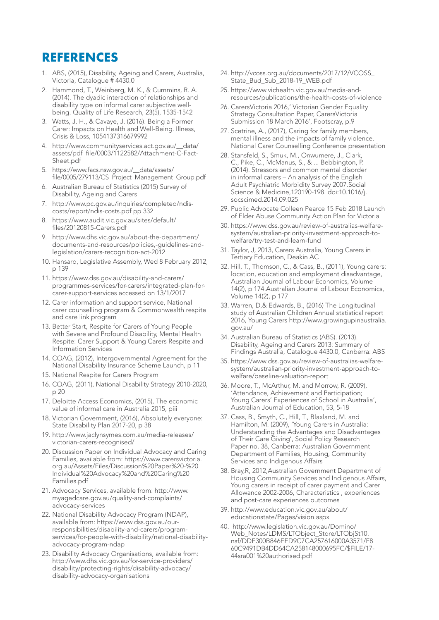## **REFERENCES**

- 1. ABS, (2015), Disability, Ageing and Carers, Australia, Victoria, Catalogue # 4430.0
- 2. Hammond, T., Weinberg, M. K., & Cummins, R. A. (2014). The dyadic interaction of relationships and disability type on informal carer subjective wellbeing. Quality of Life Research, 23(5), 1535-1542
- 3. Watts, J. H., & Cavaye, J. (2016). Being a Former Carer: Impacts on Health and Well-Being. Illness, Crisis & Loss, 1054137316679992
- 4. http://www.communityservices.act.gov.au/\_\_data/ assets/pdf\_file/0003/1122582/Attachment-C-Fact-Sheet.pdf
- 5. https://www.facs.nsw.gov.au/\_\_data/assets/ file/0005/279113/CS\_Project\_Management\_Group.pdf
- 6. Australian Bureau of Statistics (2015) Survey of Disability, Ageing and Carers
- 7. http://www.pc.gov.au/inquiries/completed/ndiscosts/report/ndis-costs.pdf pp 332
- 8. https://www.audit.vic.gov.au/sites/default/ files/20120815-Carers.pdf
- 9. http://www.dhs.vic.gov.au/about-the-department/ documents-and-resources/policies,-guidelines-andlegislation/carers-recognition-act-2012
- 10. Hansard, Legislative Assembly, Wed 8 February 2012, p 139
- 11. https://www.dss.gov.au/disability-and-carers/ programmes-services/for-carers/integrated-plan-forcarer-support-services accessed on 13/1/2017
- 12. Carer information and support service, National carer counselling program & Commonwealth respite and care link program
- 13. Better Start, Respite for Carers of Young People with Severe and Profound Disability, Mental Health Respite: Carer Support & Young Carers Respite and Information Services
- 14. COAG, (2012), Intergovernmental Agreement for the National Disability Insurance Scheme Launch, p 11
- 15. National Respite for Carers Program
- 16. COAG, (2011), National Disability Strategy 2010-2020, p 20
- 17. Deloitte Access Economics, (2015), The economic value of informal care in Australia 2015, piii
- 18. Victorian Government, (2016), Absolutely everyone: State Disability Plan 2017-20, p 38
- 19. http://www.jaclynsymes.com.au/media-releases/ victorian-carers-recognised/
- 20. Discussion Paper on Individual Advocacy and Caring Families, available from: https://www.carersvictoria. org.au/Assets/Files/Discussion%20Paper%20-%20 Individual%20Advocacy%20and%20Caring%20 Families.pdf
- 21. Advocacy Services, available from: http://www. myagedcare.gov.au/quality-and-complaints/ advocacy-services
- 22. National Disability Advocacy Program (NDAP), available from: https://www.dss.gov.au/ourresponsibilities/disability-and-carers/programservices/for-people-with-disability/national-disabilityadvocacy-program-ndap
- 23. Disability Advocacy Organisations, available from: http://www.dhs.vic.gov.au/for-service-providers/ disability/protecting-rights/disability-advocacy/ disability-advocacy-organisations
- 24. http://vcoss.org.au/documents/2017/12/VCOSS\_ State\_Bud\_Sub\_2018-19\_WEB.pdf
- 25. https://www.vichealth.vic.gov.au/media-andresources/publications/the-health-costs-of-violence
- 26. CarersVictoria 2016,' Victorian Gender Equality Strategy Consultation Paper, CarersVictoria Submission 18 March 2016', Footscray, p.9
- 27. Scetrine, A., (2017), Caring for family members, mental illness and the impacts of family violence. National Carer Counselling Conference presentation
- 28. Stansfeld, S., Smuk, M., Onwumere, J., Clark, C., Pike, C., McManus, S., & ... Bebbington, P. (2014). Stressors and common mental disorder in informal carers – An analysis of the English Adult Psychiatric Morbidity Survey 2007.Social Science & Medicine,120190-198. doi:10.1016/j. socscimed.2014.09.025
- 29. Public Advocate Colleen Pearce 15 Feb 2018 Launch of Elder Abuse Community Action Plan for Victoria
- 30. https://www.dss.gov.au/review-of-australias-welfaresystem/australian-priority-investment-approach-towelfare/try-test-and-learn-fund
- 31. Taylor, J, 2013, Carers Australia, Young Carers in Tertiary Education, Deakin AC
- 32. Hill, T., Thomson, C., & Cass, B., (2011), Young carers: location, education and employment disadvantage, Australian Journal of Labour Economics, Volume 14(2), p 174.Australian Journal of Labour Economics, Volume 14(2), p 177
- 33. Warren, D,& Edwards, B., (2016) The Longitudinal study of Australian Children Annual statistical report 2016, Young Carers http://www.growingupinaustralia. gov.au/
- 34. Australian Bureau of Statistics (ABS). (2013). Disability, Ageing and Carers 2013: Summary of Findings Australia, Catalogue 4430.0, Canberra: ABS
- 35. https://www.dss.gov.au/review-of-australias-welfaresystem/australian-priority-investment-approach-towelfare/baseline-valuation-report
- 36. Moore, T., McArthur, M. and Morrow, R. (2009), 'Attendance, Achievement and Participation; Young Carers' Experiences of School in Australia', Australian Journal of Education, 53, 5-18
- 37. Cass, B., Smyth, C., Hill, T., Blaxland, M. and Hamilton, M. (2009), 'Young Carers in Australia: Understanding the Advantages and Disadvantages of Their Care Giving', Social Policy Research Paper no. 38, Canberra: Australian Government Department of Families, Housing, Community Services and Indigenous Affairs
- 38. Bray,R, 2012,Australian Government Department of Housing Community Services and Indigenous Affairs, Young carers in receipt of carer payment and Carer Allowance 2002-2006, Characteristics , experiences and post-care experiences outcomes
- 39. http://www.education.vic.gov.au/about/ educationstate/Pages/vision.aspx
- 40. http://www.legislation.vic.gov.au/Domino/ Web\_Notes/LDMS/LTObject\_Store/LTObjSt10. nsf/DDE300B846EED9C7CA257616000A3571/F8 60C9491DB4DD64CA258148000695FC/\$FILE/17- 44sra001%20authorised.pdf